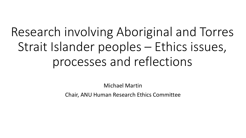# Research involving Aboriginal and Torres Strait Islander peoples – Ethics issues, processes and reflections

Michael Martin

Chair, ANU Human Research Ethics Committee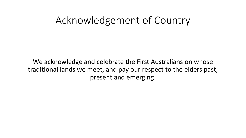### Acknowledgement of Country

We acknowledge and celebrate the First Australians on whose traditional lands we meet, and pay our respect to the elders past, present and emerging.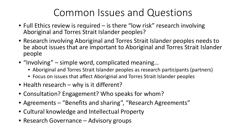# Common Issues and Questions

- Full Ethics review is required is there "low risk" research involving Aboriginal and Torres Strait Islander peoples?
- Research involving Aboriginal and Torres Strait Islander peoples needs to be about issues that are important to Aboriginal and Torres Strait Islander people
- "Involving" simple word, complicated meaning…
	- Aboriginal and Torres Strait Islander peoples as research participants (partners)
	- Focus on issues that affect Aboriginal and Torres Strait Islander peoples
- Health research why is it different?
- Consultation? Engagement? Who speaks for whom?
- Agreements "Benefits and sharing", "Research Agreements"
- Cultural knowledge and Intellectual Property
- Research Governance Advisory groups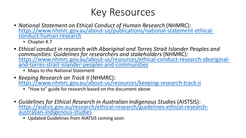# Key Resources

- *National Statement on Ethical Conduct of Human Research* (NHMRC):<br>[https://www.nhmrc.gov.au/about-us/publications/national-statement-ethical-](https://www.nhmrc.gov.au/about-us/publications/national-statement-ethical-conduct-human-research)<br>conduct-human-research
	- Chapter 4.7
- *Ethical conduct in research with Aboriginal and Torres Strait Islander Peoples and communities: Guidelines for researchers and stakeholders* [\(NHMRC\): https://www.nhmrc.gov.au/about-us/resources/ethical-conduct-research-aboriginal-](https://www.nhmrc.gov.au/about-us/resources/ethical-conduct-research-aboriginal-and-torres-strait-islander-peoples-and-communities) and-torres-strait-islander-peoples-and-communities
	- Maps to the National Statement
- *Keeping Research on Track II* (NHMRC): <https://www.nhmrc.gov.au/about-us/resources/keeping-research-track-ii>
	- "How to" guide for research based on the document above
- *Guidelines for Ethical Research in Australian Indigenous Studies* (AISTSIS):<br>[https://aiatsis.gov.au/research/ethical-research/guidelines-ethical-research-](https://aiatsis.gov.au/research/ethical-research/guidelines-ethical-research-australian-indigenous-studies)<br>australian-indigenous-studies
	- Updated Guidelines from AIATSIS coming soon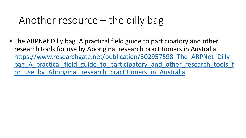### Another resource – the dilly bag

• The ARPNet Dilly bag. A practical field guide to participatory and other research tools for use by Aboriginal research practitioners in Australia https://www.researchgate.net/publication/302957598 The ARPNet Dilly bag A practical field guide to participatory and other research tools f or use by Aboriginal research practitioners in Australia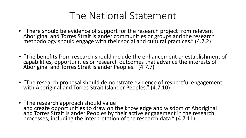# The National Statement

- "There should be evidence of support for the research project from relevant Aboriginal and Torres Strait Islander communities or groups and the research methodology should engage with their social and cultural practices." (4.7.2)
- "The benefits from research should include the enhancement or establishment of capabilities, opportunities or research outcomes that advance the interests of Aboriginal and Torres Strait Islander Peoples." (4.7.7)
- "The research proposal should demonstrate evidence of respectful engagement with Aboriginal and Torres Strait Islander Peoples." (4.7.10)
- "The research approach should value and create opportunities to draw on the knowledge and wisdom of Aboriginal and Torres Strait Islander Peoples by their active engagement in the research processes, including the interpretation of the research data." (4.7.11)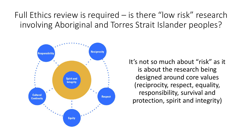Full Ethics review is required – is there "low risk" research involving Aboriginal and Torres Strait Islander peoples?



It's not so much about "risk" as it is about the research being designed around core values (reciprocity, respect, equality, responsibility, survival and protection, spirit and integrity)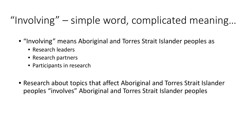# "Involving" – simple word, complicated meaning…

- "Involving" means Aboriginal and Torres Strait Islander peoples as
	- Research leaders
	- Research partners
	- Participants in research
- Research about topics that affect Aboriginal and Torres Strait Islander peoples "involves" Aboriginal and Torres Strait Islander peoples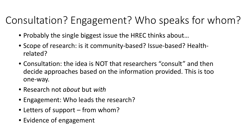# Consultation? Engagement? Who speaks for whom?

- Probably the single biggest issue the HREC thinks about…
- Scope of research: is it community-based? Issue-based? Healthrelated?
- Consultation: the idea is NOT that researchers "consult" and then decide approaches based on the information provided. This is too one-way.
- Research not *about* but *with*
- Engagement: Who leads the research?
- Letters of support from whom?
- Evidence of engagement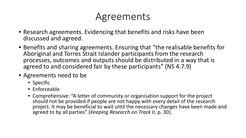# Agreements

- Research agreements. Evidencing that benefits and risks have been discussed and agreed.
- Benefits and sharing agreements. Ensuring that "the realisable benefits for Aboriginal and Torres Strait Islander participants from the research processes, outcomes and outputs should be distributed in a way that is agreed to and considered fair by these participants" (NS 4.7.9)
- Agreements need to be
	- Specific
	- Enforceable
	- Comprehensive: "A letter of community or organisation support for the project should not be provided if people are not happy with every detail of the research project. It may be beneficial to wait until the necessary changes have been made and agreed to by all parties" (*Keeping Research on Track II*, p. 30).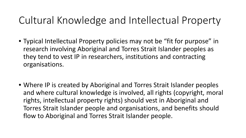# Cultural Knowledge and Intellectual Property

- Typical Intellectual Property policies may not be "fit for purpose" in research involving Aboriginal and Torres Strait Islander peoples as they tend to vest IP in researchers, institutions and contracting organisations.
- Where IP is created by Aboriginal and Torres Strait Islander peoples and where cultural knowledge is involved, all rights (copyright, moral rights, intellectual property rights) should vest in Aboriginal and Torres Strait Islander people and organisations, and benefits should flow to Aboriginal and Torres Strait Islander people.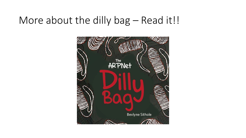#### More about the dilly bag - Read it!!

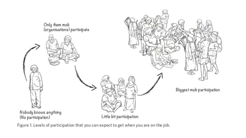

Figure 1. Levels of participation that you can expect to get when you are on the job.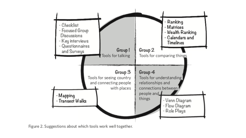

Figure 2. Suggestions about which tools work well together.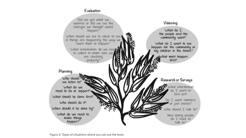#### Evaluation



Figure 3. Types of situations where you can use the tools.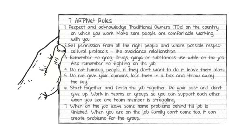7 ARPNet Rules

1. Respect and acknowledge Traditional Owners (TOs) on the country on which you work. Make sure people are comfortable working with you.

2.Get permission from all the right people and where possible respect cultural protocols - like avoidance relationships.

3. Remember no grog, drugs, gunja or substances use while on the job.<br>Also remember no fighting on the job.

4. Do not humbug people, if they don't want to do it, leave them alone. 5. Do not give your opinions, lock them in a box and throw away the key.

6. Start together and finish the job together. Do your best and don't give up. Work in teams or groups so you can support each other when you see one team member is struggling.

7. When on the job leave some home problems behind till job is finished. When you are on the job family can't come too, it can create problems for the group.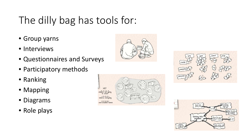# The dilly bag has tools for:

- Group yarns
- Interviews
- Questionnaires and Surveys
- Participatory methods
- Ranking
- Mapping
- Diagrams
- Role plays





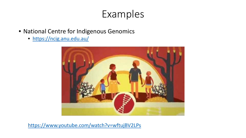### Examples

- National Centre for Indigenous Genomics
	- <https://ncig.anu.edu.au/>



<https://www.youtube.com/watch?v=wftujBV2LPs>